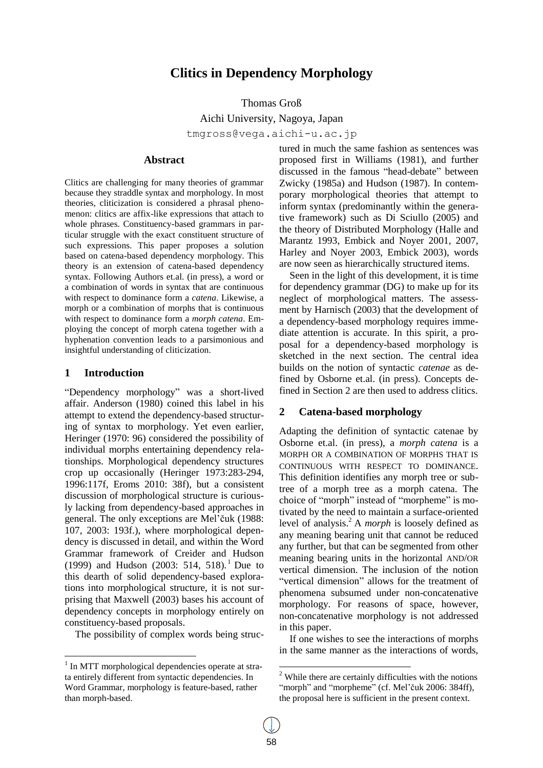# **Clitics in Dependency Morphology**

Thomas Groß

Aichi University, Nagoya, Japan tmgross@vega.aichi-u.ac.jp

# **Abstract**

Clitics are challenging for many theories of grammar because they straddle syntax and morphology. In most theories, cliticization is considered a phrasal phenomenon: clitics are affix-like expressions that attach to whole phrases. Constituency-based grammars in particular struggle with the exact constituent structure of such expressions. This paper proposes a solution based on catena-based dependency morphology. This theory is an extension of catena-based dependency syntax. Following Authors et.al. (in press), a word or a combination of words in syntax that are continuous with respect to dominance form a *catena*. Likewise, a morph or a combination of morphs that is continuous with respect to dominance form a *morph catena*. Employing the concept of morph catena together with a hyphenation convention leads to a parsimonious and insightful understanding of cliticization.

#### **1 Introduction**

"Dependency morphology" was a short-lived affair. Anderson (1980) coined this label in his attempt to extend the dependency-based structuring of syntax to morphology. Yet even earlier, Heringer (1970: 96) considered the possibility of individual morphs entertaining dependency relationships. Morphological dependency structures crop up occasionally (Heringer 1973:283-294, 1996:117f, Eroms 2010: 38f), but a consistent discussion of morphological structure is curiously lacking from dependency-based approaches in general. The only exceptions are Mel"čuk (1988: 107, 2003: 193f.), where morphological dependency is discussed in detail, and within the Word Grammar framework of Creider and Hudson (1999) and Hudson (2003: 514, 518). <sup>1</sup> Due to this dearth of solid dependency-based explorations into morphological structure, it is not surprising that Maxwell (2003) bases his account of dependency concepts in morphology entirely on constituency-based proposals.

The possibility of complex words being struc-

tured in much the same fashion as sentences was proposed first in Williams (1981), and further discussed in the famous "head-debate" between Zwicky (1985a) and Hudson (1987). In contemporary morphological theories that attempt to inform syntax (predominantly within the generative framework) such as Di Sciullo (2005) and the theory of Distributed Morphology (Halle and Marantz 1993, Embick and Noyer 2001, 2007, Harley and Noyer 2003, Embick 2003), words are now seen as hierarchically structured items.

Seen in the light of this development, it is time for dependency grammar (DG) to make up for its neglect of morphological matters. The assessment by Harnisch (2003) that the development of a dependency-based morphology requires immediate attention is accurate. In this spirit, a proposal for a dependency-based morphology is sketched in the next section. The central idea builds on the notion of syntactic *catenae* as defined by Osborne et.al. (in press). Concepts defined in Section 2 are then used to address clitics.

# **2 Catena-based morphology**

Adapting the definition of syntactic catenae by Osborne et.al. (in press), a *morph catena* is a MORPH OR A COMBINATION OF MORPHS THAT IS CONTINUOUS WITH RESPECT TO DOMINANCE. This definition identifies any morph tree or subtree of a morph tree as a morph catena. The choice of "morph" instead of "morpheme" is motivated by the need to maintain a surface-oriented level of analysis.<sup>2</sup> A *morph* is loosely defined as any meaning bearing unit that cannot be reduced any further, but that can be segmented from other meaning bearing units in the horizontal AND/OR vertical dimension. The inclusion of the notion "vertical dimension" allows for the treatment of phenomena subsumed under non-concatenative morphology. For reasons of space, however, non-concatenative morphology is not addressed in this paper.

If one wishes to see the interactions of morphs in the same manner as the interactions of words,

<sup>&</sup>lt;sup>1</sup> In MTT morphological dependencies operate at strata entirely different from syntactic dependencies. In Word Grammar, morphology is feature-based, rather than morph-based.

 $2$ <sup>2</sup> While there are certainly difficulties with the notions "morph" and "morpheme" (cf. Mel'čuk 2006: 384ff), the proposal here is sufficient in the present context.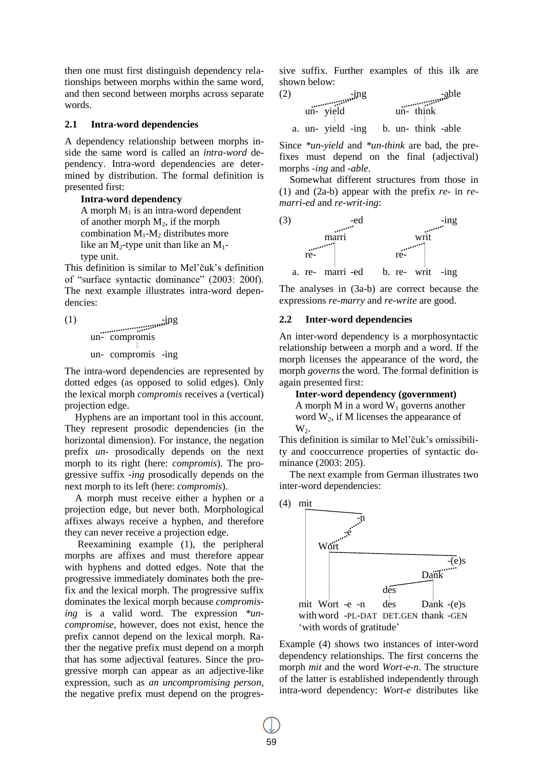then one must first distinguish dependency relationships between morphs within the same word, and then second between morphs across separate words.

#### **2.1 Intra-word dependencies**

A dependency relationship between morphs inside the same word is called an *intra-word* dependency. Intra-word dependencies are determined by distribution. The formal definition is presented first:

**Intra-word dependency**

A morph  $M_1$  is an intra-word dependent of another morph  $M_2$ , if the morph combination  $M_1-M_2$  distributes more like an M<sub>2</sub>-type unit than like an M<sub>1</sub>type unit.

This definition is similar to Mel'čuk's definition of "surface syntactic dominance" (2003: 200f). The next example illustrates intra-word dependencies:

(1)  $\ldots$   $\ldots$   $\ldots$   $\ldots$   $\ldots$   $\ldots$   $\ldots$   $\ldots$   $\ldots$   $\ldots$   $\ldots$   $\ldots$   $\ldots$   $\ldots$   $\ldots$   $\ldots$   $\ldots$   $\ldots$   $\ldots$   $\ldots$   $\ldots$   $\ldots$   $\ldots$   $\ldots$   $\ldots$   $\ldots$   $\ldots$   $\ldots$   $\ldots$   $\ldots$   $\ldots$   $\ldots$   $\ldots$   $\ldots$   $\ldots$   $\ldots$  un- compromis un- compromis -ing

The intra-word dependencies are represented by dotted edges (as opposed to solid edges). Only the lexical morph *compromis* receives a (vertical) projection edge.

Hyphens are an important tool in this account. They represent prosodic dependencies (in the horizontal dimension). For instance, the negation prefix *un-* prosodically depends on the next morph to its right (here: *compromis*). The progressive suffix *-ing* prosodically depends on the next morph to its left (here: *compromis*).

A morph must receive either a hyphen or a projection edge, but never both. Morphological affixes always receive a hyphen, and therefore they can never receive a projection edge.

Reexamining example (1), the peripheral morphs are affixes and must therefore appear with hyphens and dotted edges. Note that the progressive immediately dominates both the prefix and the lexical morph. The progressive suffix dominates the lexical morph because *compromising* is a valid word. The expression *\*uncompromise*, however, does not exist, hence the prefix cannot depend on the lexical morph. Rather the negative prefix must depend on a morph that has some adjectival features. Since the progressive morph can appear as an adjective-like expression, such as *an uncompromising person*, the negative prefix must depend on the progressive suffix. Further examples of this ilk are

shown below:<br>(2)  $\frac{1}{2}$   $\frac{1}{2}$   $\frac{1}{2}$   $\frac{1}{2}$   $\frac{1}{2}$   $\frac{1}{2}$   $\frac{1}{2}$   $\frac{1}{2}$   $\frac{1}{2}$   $\frac{1}{2}$   $\frac{1}{2}$   $\frac{1}{2}$   $\frac{1}{2}$   $\frac{1}{2}$   $\frac{1}{2}$   $\frac{1}{2}$   $\frac{1}{2}$   $\frac{1}{2}$   $\frac{1}{2}$   $\frac{1}{2}$   $\frac{$  $\frac{-\text{ing}}{\text{ing}}$  -able un- yield un- think a. un- yield -ing b. un- think -able

Since *\*un-yield* and *\*un-think* are bad, the prefixes must depend on the final (adjectival) morphs *-ing* and *-able*.

Somewhat different structures from those in (1) and (2a-b) appear with the prefix *re-* in *remarri-ed* and *re-writ-ing*:



The analyses in (3a-b) are correct because the expressions *re-marry* and *re-write* are good.

#### **2.2 Inter-word dependencies**

An inter-word dependency is a morphosyntactic relationship between a morph and a word. If the morph licenses the appearance of the word, the morph *governs* the word. The formal definition is again presented first:

**Inter-word dependency (government)** A morph M in a word  $W_1$  governs another

word  $W_2$ , if M licenses the appearance of  $W_2$ .

This definition is similar to Mel"čuk"s omissibility and cooccurrence properties of syntactic dominance (2003: 205).

The next example from German illustrates two inter-word dependencies:



Example (4) shows two instances of inter-word dependency relationships. The first concerns the morph *mit* and the word *Wort-e-n*. The structure of the latter is established independently through intra-word dependency: *Wort-e* distributes like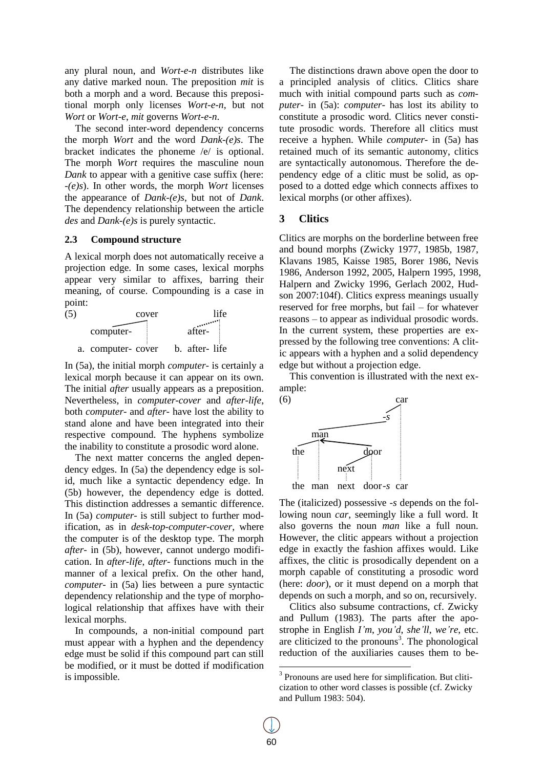any plural noun, and *Wort-e-n* distributes like any dative marked noun. The preposition *mit* is both a morph and a word. Because this prepositional morph only licenses *Wort-e-n*, but not *Wort* or *Wort-e*, *mit* governs *Wort-e-n*.

The second inter-word dependency concerns the morph *Wort* and the word *Dank-(e)s*. The bracket indicates the phoneme /e/ is optional. The morph *Wort* requires the masculine noun *Dank* to appear with a genitive case suffix (here: *-(e)s*). In other words, the morph *Wort* licenses the appearance of *Dank-(e)s*, but not of *Dank*. The dependency relationship between the article *des* and *Dank-(e)s* is purely syntactic.

## **2.3 Compound structure**

A lexical morph does not automatically receive a projection edge. In some cases, lexical morphs appear very similar to affixes, barring their meaning, of course. Compounding is a case in point:



In (5a), the initial morph *computer-* is certainly a lexical morph because it can appear on its own. The initial *after* usually appears as a preposition. Nevertheless, in *computer-cover* and *after-life*, both *computer-* and *after-* have lost the ability to stand alone and have been integrated into their respective compound. The hyphens symbolize the inability to constitute a prosodic word alone.

The next matter concerns the angled dependency edges. In (5a) the dependency edge is solid, much like a syntactic dependency edge. In (5b) however, the dependency edge is dotted. This distinction addresses a semantic difference. In (5a) *computer-* is still subject to further modification, as in *desk-top-computer-cover*, where the computer is of the desktop type. The morph *after-* in (5b), however, cannot undergo modification. In *after-life*, *after-* functions much in the manner of a lexical prefix. On the other hand, *computer-* in (5a) lies between a pure syntactic dependency relationship and the type of morphological relationship that affixes have with their lexical morphs.

In compounds, a non-initial compound part must appear with a hyphen and the dependency edge must be solid if this compound part can still be modified, or it must be dotted if modification is impossible.

The distinctions drawn above open the door to a principled analysis of clitics. Clitics share much with initial compound parts such as *computer-* in (5a): *computer-* has lost its ability to constitute a prosodic word. Clitics never constitute prosodic words. Therefore all clitics must receive a hyphen. While *computer-* in (5a) has retained much of its semantic autonomy, clitics are syntactically autonomous. Therefore the dependency edge of a clitic must be solid, as opposed to a dotted edge which connects affixes to lexical morphs (or other affixes).

## **3 Clitics**

Clitics are morphs on the borderline between free and bound morphs (Zwicky 1977, 1985b, 1987, Klavans 1985, Kaisse 1985, Borer 1986, Nevis 1986, Anderson 1992, 2005, Halpern 1995, 1998, Halpern and Zwicky 1996, Gerlach 2002, Hudson 2007:104f). Clitics express meanings usually reserved for free morphs, but fail – for whatever reasons – to appear as individual prosodic words. In the current system, these properties are expressed by the following tree conventions: A clitic appears with a hyphen and a solid dependency edge but without a projection edge.

This convention is illustrated with the next example:



The (italicized) possessive *-s* depends on the following noun *car*, seemingly like a full word. It also governs the noun *man* like a full noun. However, the clitic appears without a projection edge in exactly the fashion affixes would. Like affixes, the clitic is prosodically dependent on a morph capable of constituting a prosodic word (here: *door*), or it must depend on a morph that depends on such a morph, and so on, recursively.

Clitics also subsume contractions, cf. Zwicky and Pullum (1983). The parts after the apostrophe in English *I'm*, *you'd*, *she'll*, *we're*, etc. are cliticized to the pronouns<sup>3</sup>. The phonological reduction of the auxiliaries causes them to be-

<sup>&</sup>lt;sup>3</sup> Pronouns are used here for simplification. But cliticization to other word classes is possible (cf. Zwicky and Pullum 1983: 504).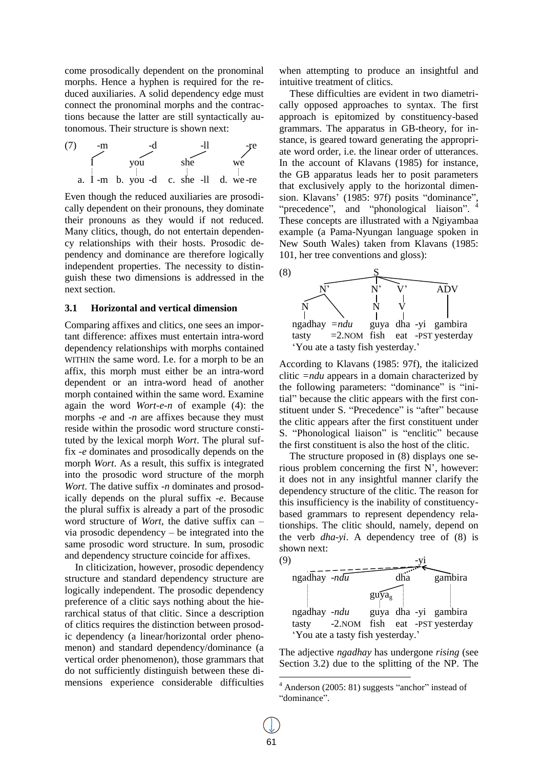come prosodically dependent on the pronominal morphs. Hence a hyphen is required for the reduced auxiliaries. A solid dependency edge must connect the pronominal morphs and the contractions because the latter are still syntactically autonomous. Their structure is shown next:



Even though the reduced auxiliaries are prosodically dependent on their pronouns, they dominate their pronouns as they would if not reduced. Many clitics, though, do not entertain dependency relationships with their hosts. Prosodic dependency and dominance are therefore logically independent properties. The necessity to distinguish these two dimensions is addressed in the next section.

#### **3.1 Horizontal and vertical dimension**

Comparing affixes and clitics, one sees an important difference: affixes must entertain intra-word dependency relationships with morphs contained WITHIN the same word. I.e. for a morph to be an affix, this morph must either be an intra-word dependent or an intra-word head of another morph contained within the same word. Examine again the word *Wort-e-n* of example (4): the morphs *-e* and *-n* are affixes because they must reside within the prosodic word structure constituted by the lexical morph *Wort*. The plural suffix *-e* dominates and prosodically depends on the morph *Wort*. As a result, this suffix is integrated into the prosodic word structure of the morph *Wort*. The dative suffix *-n* dominates and prosodically depends on the plural suffix *-e*. Because the plural suffix is already a part of the prosodic word structure of *Wort*, the dative suffix can – via prosodic dependency – be integrated into the same prosodic word structure. In sum, prosodic and dependency structure coincide for affixes.

In cliticization, however, prosodic dependency structure and standard dependency structure are logically independent. The prosodic dependency preference of a clitic says nothing about the hierarchical status of that clitic. Since a description of clitics requires the distinction between prosodic dependency (a linear/horizontal order phenomenon) and standard dependency/dominance (a vertical order phenomenon), those grammars that do not sufficiently distinguish between these dimensions experience considerable difficulties

when attempting to produce an insightful and intuitive treatment of clitics.

These difficulties are evident in two diametrically opposed approaches to syntax. The first approach is epitomized by constituency-based grammars. The apparatus in GB-theory, for instance, is geared toward generating the appropriate word order, i.e. the linear order of utterances. In the account of Klavans (1985) for instance, the GB apparatus leads her to posit parameters that exclusively apply to the horizontal dimension. Klavans' (1985: 97f) posits "dominance", "precedence", and "phonological liaison". <sup>4</sup> These concepts are illustrated with a Ngiyambaa example (a Pama-Nyungan language spoken in New South Wales) taken from Klavans (1985: 101, her tree conventions and gloss):



According to Klavans (1985: 97f), the italicized clitic *=ndu* appears in a domain characterized by the following parameters: "dominance" is "initial" because the clitic appears with the first constituent under S. "Precedence" is "after" because the clitic appears after the first constituent under S. "Phonological liaison" is "enclitic" because the first constituent is also the host of the clitic.

The structure proposed in (8) displays one serious problem concerning the first N", however: it does not in any insightful manner clarify the dependency structure of the clitic. The reason for this insufficiency is the inability of constituencybased grammars to represent dependency relationships. The clitic should, namely, depend on the verb *dha-yi*. A dependency tree of (8) is shown next:



The adjective *ngadhay* has undergone *rising* (see Section 3.2) due to the splitting of the NP. The

 $4$  Anderson (2005: 81) suggests "anchor" instead of "dominance".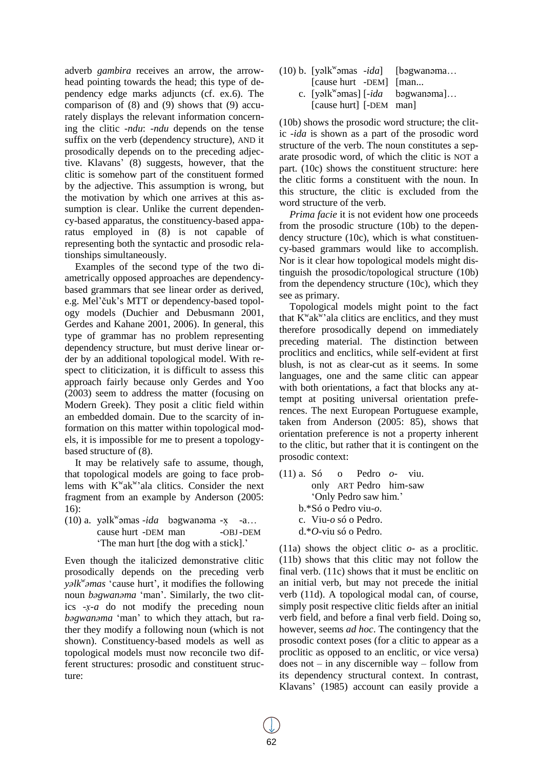adverb *gambira* receives an arrow, the arrowhead pointing towards the head; this type of dependency edge marks adjuncts (cf. ex.6). The comparison of (8) and (9) shows that (9) accurately displays the relevant information concerning the clitic *-ndu*: *-ndu* depends on the tense suffix on the verb (dependency structure), AND it prosodically depends on to the preceding adjective. Klavans" (8) suggests, however, that the clitic is somehow part of the constituent formed by the adjective. This assumption is wrong, but the motivation by which one arrives at this assumption is clear. Unlike the current dependency-based apparatus, the constituency-based apparatus employed in (8) is not capable of representing both the syntactic and prosodic relationships simultaneously.

Examples of the second type of the two diametrically opposed approaches are dependencybased grammars that see linear order as derived, e.g. Mel"čuk"s MTT or dependency-based topology models (Duchier and Debusmann 2001, Gerdes and Kahane 2001, 2006). In general, this type of grammar has no problem representing dependency structure, but must derive linear order by an additional topological model. With respect to cliticization, it is difficult to assess this approach fairly because only Gerdes and Yoo (2003) seem to address the matter (focusing on Modern Greek). They posit a clitic field within an embedded domain. Due to the scarcity of information on this matter within topological models, it is impossible for me to present a topologybased structure of (8).

It may be relatively safe to assume, though, that topological models are going to face problems with  $K^{\text{w}} a k^{\text{w}}$  ala clitics. Consider the next fragment from an example by Anderson (2005: 16):

(10) a. yəlk<sup>w</sup>əmas *-ida* bəgwanəma -x -a... cause hurt -DEM man -OBJ-DEM "The man hurt [the dog with a stick]."

Even though the italicized demonstrative clitic prosodically depends on the preceding verb *yəlk<sup>w</sup> əmas* "cause hurt", it modifies the following noun *bəgwanəma* "man". Similarly, the two clitics *-x-a* do not modify the preceding noun *bəgwanəma* "man" to which they attach, but rather they modify a following noun (which is not shown). Constituency-based models as well as topological models must now reconcile two different structures: prosodic and constituent structure:

- (10) b. [yəl $k^w$ əmas -ida] [bəgwanəma... [cause hurt -DEM] [man...
	- c. [yəl $k^w$ əmas] [-ida bəgwanəma]... [cause hurt] [-DEM man]

(10b) shows the prosodic word structure; the clitic *-ida* is shown as a part of the prosodic word structure of the verb. The noun constitutes a separate prosodic word, of which the clitic is NOT a part. (10c) shows the constituent structure: here the clitic forms a constituent with the noun. In this structure, the clitic is excluded from the word structure of the verb.

*Prima facie* it is not evident how one proceeds from the prosodic structure (10b) to the dependency structure (10c), which is what constituency-based grammars would like to accomplish. Nor is it clear how topological models might distinguish the prosodic/topological structure (10b) from the dependency structure (10c), which they see as primary.

Topological models might point to the fact that  $\hat{K}^{\text{w}}$ ak<sup>w</sup>'ala clitics are enclitics, and they must therefore prosodically depend on immediately preceding material. The distinction between proclitics and enclitics, while self-evident at first blush, is not as clear-cut as it seems. In some languages, one and the same clitic can appear with both orientations, a fact that blocks any attempt at positing universal orientation preferences. The next European Portuguese example, taken from Anderson (2005: 85), shows that orientation preference is not a property inherent to the clitic, but rather that it is contingent on the prosodic context:

(11) a. Só o Pedro *o-* viu. only ART Pedro him-saw 'Only Pedro saw him.' b.\*Só o Pedro viu*-o*. c. Viu*-o* só o Pedro. d.\**O-*viu só o Pedro.

(11a) shows the object clitic *o-* as a proclitic. (11b) shows that this clitic may not follow the final verb. (11c) shows that it must be enclitic on an initial verb, but may not precede the initial verb (11d). A topological modal can, of course, simply posit respective clitic fields after an initial verb field, and before a final verb field. Doing so, however, seems *ad hoc*. The contingency that the prosodic context poses (for a clitic to appear as a proclitic as opposed to an enclitic, or vice versa) does not – in any discernible way – follow from its dependency structural context. In contrast, Klavans" (1985) account can easily provide a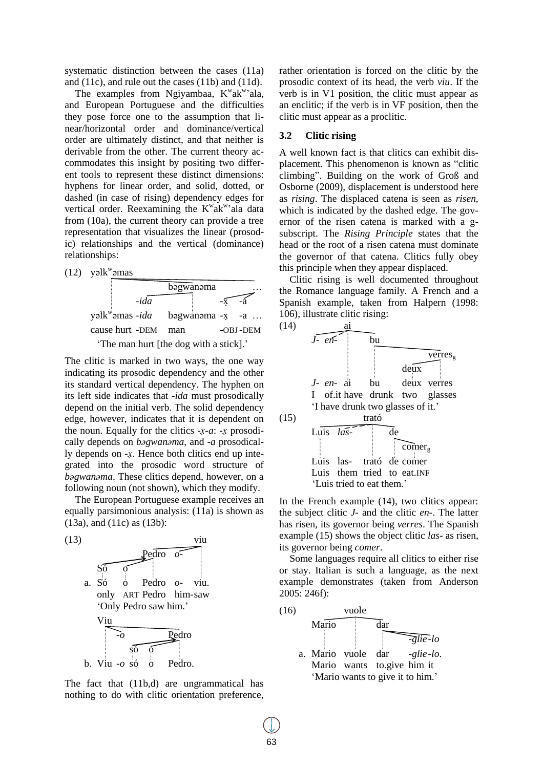systematic distinction between the cases (11a) and (11c), and rule out the cases (11b) and (11d).

The examples from Ngiyambaa,  $K^{\text{w}}$ ak<sup>w</sup>'ala, and European Portuguese and the difficulties they pose force one to the assumption that linear/horizontal order and dominance/vertical order are ultimately distinct, and that neither is derivable from the other. The current theory accommodates this insight by positing two different tools to represent these distinct dimensions: hyphens for linear order, and solid, dotted, or dashed (in case of rising) dependency edges for vertical order. Reexamining the K<sup>w</sup>ak<sup>w</sup>'ala data from (10a), the current theory can provide a tree representation that visualizes the linear (prosodic) relationships and the vertical (dominance) relationships:

 $(12)$  yəlk<sup>w</sup>əmas

bəgwanəma …  $-i\overline{da}$   $-\overline{x}$ yəlk<sup>w</sup>əmas -ida bəgwanəma -x -a .. cause hurt -DEM man -OBJ-DEM The man hurt [the dog with a stick].'

The clitic is marked in two ways, the one way indicating its prosodic dependency and the other its standard vertical dependency. The hyphen on its left side indicates that *-ida* must prosodically depend on the initial verb. The solid dependency edge, however, indicates that it is dependent on the noun. Equally for the clitics  $-x-a$ :  $-x$  prosodically depends on *bəgwanəma*, and *-a* prosodically depends on *-x*. Hence both clitics end up integrated into the prosodic word structure of *bəgwanəma*. These clitics depend, however, on a following noun (not shown), which they modify.

The European Portuguese example receives an equally parsimonious analysis: (11a) is shown as (13a), and (11c) as (13b):



The fact that (11b,d) are ungrammatical has nothing to do with clitic orientation preference, rather orientation is forced on the clitic by the prosodic context of its head, the verb *viu*. If the verb is in V1 position, the clitic must appear as an enclitic; if the verb is in VF position, then the clitic must appear as a proclitic.

# **3.2 Clitic rising**

A well known fact is that clitics can exhibit displacement. This phenomenon is known as "clitic climbing". Building on the work of Groß and Osborne (2009), displacement is understood here as *rising*. The displaced catena is seen as *risen*, which is indicated by the dashed edge. The governor of the risen catena is marked with a gsubscript. The *Rising Principle* states that the head or the root of a risen catena must dominate the governor of that catena. Clitics fully obey this principle when they appear displaced.

Clitic rising is well documented throughout the Romance language family. A French and a Spanish example, taken from Halpern (1998: 106), illustrate clitic rising:



In the French example (14), two clitics appear: the subject clitic *J-* and the clitic *en-*. The latter has risen, its governor being *verres*. The Spanish example (15) shows the object clitic *las-* as risen, its governor being *comer*.

Some languages require all clitics to either rise or stay. Italian is such a language, as the next example demonstrates (taken from Anderson 2005: 246f):

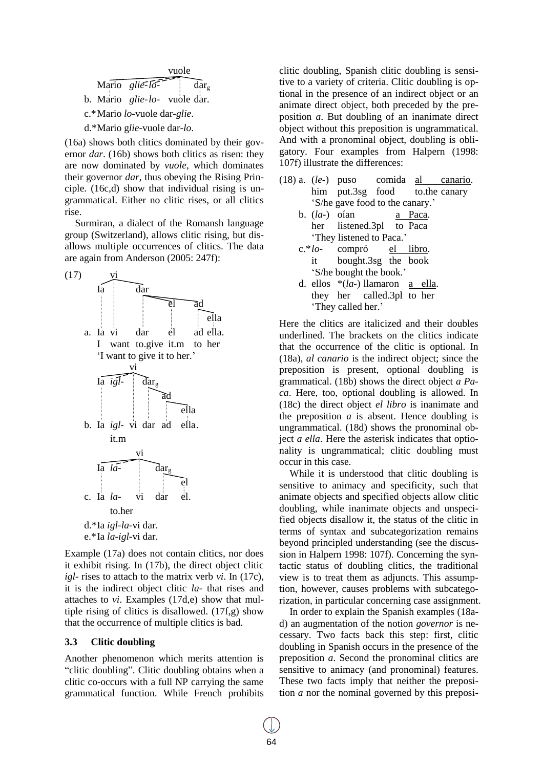

(16a) shows both clitics dominated by their governor *dar*. (16b) shows both clitics as risen: they are now dominated by *vuole*, which dominates their governor *dar*, thus obeying the Rising Principle. (16c,d) show that individual rising is ungrammatical. Either no clitic rises, or all clitics rise.

Surmiran, a dialect of the Romansh language group (Switzerland), allows clitic rising, but disallows multiple occurrences of clitics. The data are again from Anderson (2005: 247f):



Example (17a) does not contain clitics, nor does it exhibit rising. In (17b), the direct object clitic *igl-* rises to attach to the matrix verb *vi*. In (17c), it is the indirect object clitic *la-* that rises and attaches to *vi*. Examples (17d,e) show that multiple rising of clitics is disallowed. (17f,g) show that the occurrence of multiple clitics is bad.

#### **3.3 Clitic doubling**

Another phenomenon which merits attention is "clitic doubling". Clitic doubling obtains when a clitic co-occurs with a full NP carrying the same grammatical function. While French prohibits clitic doubling, Spanish clitic doubling is sensitive to a variety of criteria. Clitic doubling is optional in the presence of an indirect object or an animate direct object, both preceded by the preposition *a*. But doubling of an inanimate direct object without this preposition is ungrammatical. And with a pronominal object, doubling is obligatory. Four examples from Halpern (1998: 107f) illustrate the differences:

- (18) a. (*le-*) puso comida al canario. him put.3sg food to.the canary 'S/he gave food to the canary.'
	- b. (*la-*) oían a Paca. her listened.3pl to Paca "They listened to Paca."
	- c.\**lo-* compró el libro. it bought.3sg the book "S/he bought the book."
	- d. ellos \*(*la-*) llamaron a ella. they her called.3pl to her 'They called her.'

Here the clitics are italicized and their doubles underlined. The brackets on the clitics indicate that the occurrence of the clitic is optional. In (18a), *al canario* is the indirect object; since the preposition is present, optional doubling is grammatical. (18b) shows the direct object *a Paca*. Here, too, optional doubling is allowed. In (18c) the direct object *el libro* is inanimate and the preposition  $a$  is absent. Hence doubling is ungrammatical. (18d) shows the pronominal object *a ella*. Here the asterisk indicates that optionality is ungrammatical; clitic doubling must occur in this case.

While it is understood that clitic doubling is sensitive to animacy and specificity, such that animate objects and specified objects allow clitic doubling, while inanimate objects and unspecified objects disallow it, the status of the clitic in terms of syntax and subcategorization remains beyond principled understanding (see the discussion in Halpern 1998: 107f). Concerning the syntactic status of doubling clitics, the traditional view is to treat them as adjuncts. This assumption, however, causes problems with subcategorization, in particular concerning case assignment.

In order to explain the Spanish examples (18ad) an augmentation of the notion *governor* is necessary. Two facts back this step: first, clitic doubling in Spanish occurs in the presence of the preposition *a*. Second the pronominal clitics are sensitive to animacy (and pronominal) features. These two facts imply that neither the preposition *a* nor the nominal governed by this preposi-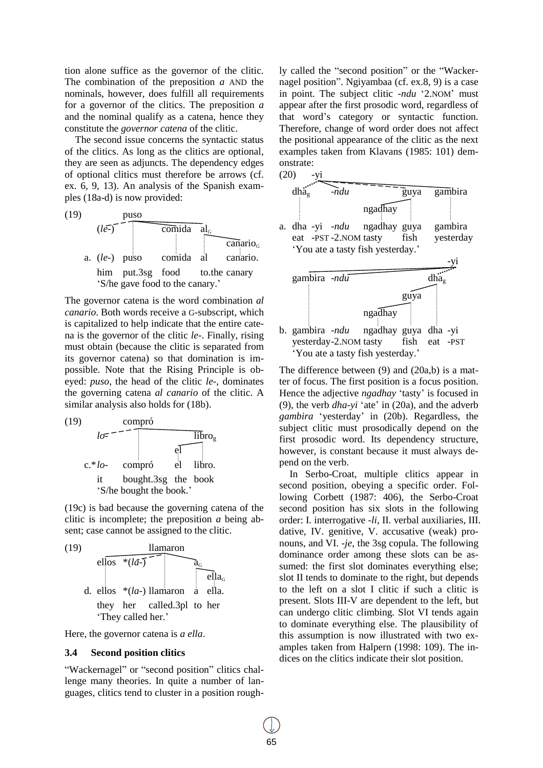tion alone suffice as the governor of the clitic. The combination of the preposition *a* AND the nominals, however, does fulfill all requirements for a governor of the clitics. The preposition *a* and the nominal qualify as a catena, hence they constitute the *governor catena* of the clitic.

The second issue concerns the syntactic status of the clitics. As long as the clitics are optional, they are seen as adjuncts. The dependency edges of optional clitics must therefore be arrows (cf. ex. 6, 9, 13). An analysis of the Spanish examples (18a-d) is now provided:



The governor catena is the word combination *al canario*. Both words receive a G-subscript, which is capitalized to help indicate that the entire catena is the governor of the clitic *le-*. Finally, rising must obtain (because the clitic is separated from its governor catena) so that domination is impossible. Note that the Rising Principle is obeyed: *puso*, the head of the clitic *le-*, dominates the governing catena *al canario* of the clitic. A similar analysis also holds for (18b).



(19c) is bad because the governing catena of the clitic is incomplete; the preposition *a* being absent; case cannot be assigned to the clitic.



Here, the governor catena is *a ella*.

## **3.4 Second position clitics**

"Wackernagel" or "second position" clitics challenge many theories. In quite a number of languages, clitics tend to cluster in a position roughly called the "second position" or the "Wackernagel position". Ngiyambaa (cf. ex.8, 9) is a case in point. The subject clitic *-ndu* '2.NOM' must appear after the first prosodic word, regardless of that word"s category or syntactic function. Therefore, change of word order does not affect the positional appearance of the clitic as the next examples taken from Klavans (1985: 101) demonstrate:





The difference between (9) and (20a,b) is a matter of focus. The first position is a focus position. Hence the adjective *ngadhay* 'tasty' is focused in (9), the verb *dha-yi* "ate" in (20a), and the adverb *gambira* "yesterday" in (20b). Regardless, the subject clitic must prosodically depend on the first prosodic word. Its dependency structure, however, is constant because it must always depend on the verb.

In Serbo-Croat, multiple clitics appear in second position, obeying a specific order. Following Corbett (1987: 406), the Serbo-Croat second position has six slots in the following order: I. interrogative *-li*, II. verbal auxiliaries, III. dative, IV. genitive, V. accusative (weak) pronouns, and VI. *-je*, the 3sg copula. The following dominance order among these slots can be assumed: the first slot dominates everything else; slot II tends to dominate to the right, but depends to the left on a slot I clitic if such a clitic is present. Slots III-V are dependent to the left, but can undergo clitic climbing. Slot VI tends again to dominate everything else. The plausibility of this assumption is now illustrated with two examples taken from Halpern (1998: 109). The indices on the clitics indicate their slot position.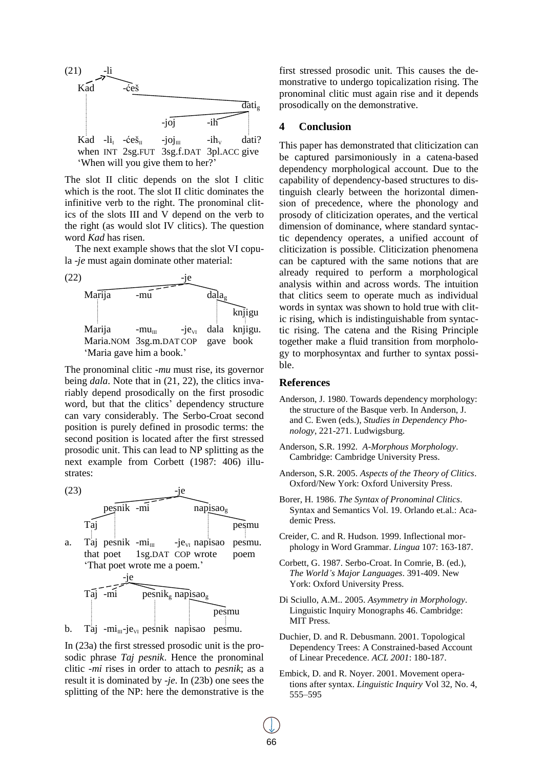

The slot II clitic depends on the slot I clitic which is the root. The slot II clitic dominates the infinitive verb to the right. The pronominal clitics of the slots III and V depend on the verb to the right (as would slot IV clitics). The question word *Kad* has risen.

The next example shows that the slot VI copula *-je* must again dominate other material:



The pronominal clitic *-mu* must rise, its governor being *dala*. Note that in (21, 22), the clitics invariably depend prosodically on the first prosodic word, but that the clitics' dependency structure can vary considerably. The Serbo-Croat second position is purely defined in prosodic terms: the second position is located after the first stressed prosodic unit. This can lead to NP splitting as the next example from Corbett (1987: 406) illustrates:

 $(23)$ 



b. Taj - $mi_{\text{III}}$ -je<sub>vi</sub> pesnik napisao pesmu.

In (23a) the first stressed prosodic unit is the prosodic phrase *Taj pesnik*. Hence the pronominal clitic *-mi* rises in order to attach to *pesnik*; as a result it is dominated by *-je*. In (23b) one sees the splitting of the NP: here the demonstrative is the first stressed prosodic unit. This causes the demonstrative to undergo topicalization rising. The pronominal clitic must again rise and it depends prosodically on the demonstrative.

# **4 Conclusion**

This paper has demonstrated that cliticization can be captured parsimoniously in a catena-based dependency morphological account. Due to the capability of dependency-based structures to distinguish clearly between the horizontal dimension of precedence, where the phonology and prosody of cliticization operates, and the vertical dimension of dominance, where standard syntactic dependency operates, a unified account of cliticization is possible. Cliticization phenomena can be captured with the same notions that are already required to perform a morphological analysis within and across words. The intuition that clitics seem to operate much as individual words in syntax was shown to hold true with clitic rising, which is indistinguishable from syntactic rising. The catena and the Rising Principle together make a fluid transition from morphology to morphosyntax and further to syntax possible.

## **References**

- Anderson, J. 1980. Towards dependency morphology: the structure of the Basque verb. In Anderson, J. and C. Ewen (eds.), *Studies in Dependency Phonology*, 221-271. Ludwigsburg.
- Anderson, S.R. 1992. *A-Morphous Morphology*. Cambridge: Cambridge University Press.
- Anderson, S.R. 2005. *Aspects of the Theory of Clitics*. Oxford/New York: Oxford University Press.
- Borer, H. 1986. *The Syntax of Pronominal Clitics*. Syntax and Semantics Vol. 19. Orlando et.al.: Academic Press.
- Creider, C. and R. Hudson. 1999. Inflectional morphology in Word Grammar. *Lingua* 107: 163-187.
- Corbett, G. 1987. Serbo-Croat. In Comrie, B. (ed.), *The World's Major Languages*. 391-409. New York: Oxford University Press.
- Di Sciullo, A.M.. 2005. *Asymmetry in Morphology*. Linguistic Inquiry Monographs 46. Cambridge: MIT Press.
- Duchier, D. and R. Debusmann. 2001. Topological Dependency Trees: A Constrained-based Account of Linear Precedence. *ACL 2001*: 180-187.
- Embick, D. and R. Noyer. 2001. Movement operations after syntax. *Linguistic Inquiry* Vol 32, No. 4, 555–595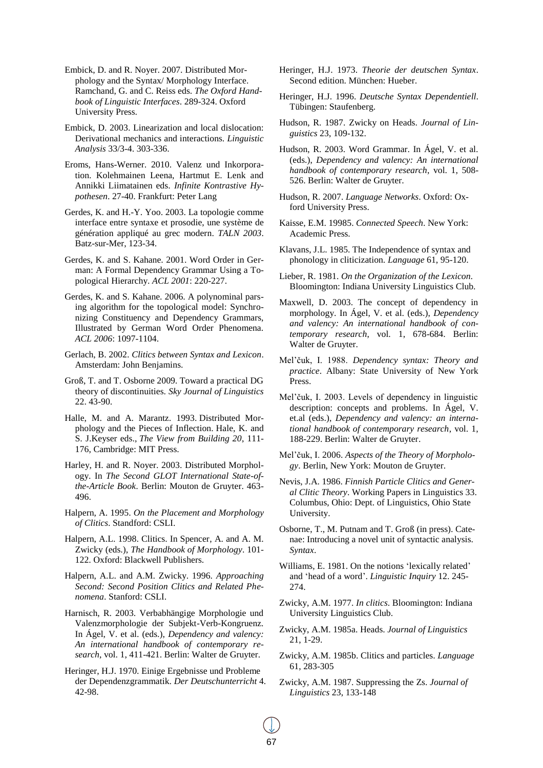- Embick, D. and R. Noyer. 2007. Distributed Morphology and the Syntax/ Morphology Interface. Ramchand, G. and C. Reiss eds. *The Oxford Handbook of Linguistic Interfaces*. 289-324. Oxford University Press.
- Embick, D. 2003. Linearization and local dislocation: Derivational mechanics and interactions. *Linguistic Analysis* 33/3-4. 303-336.
- Eroms, Hans-Werner. 2010. Valenz und Inkorporation. Kolehmainen Leena, Hartmut E. Lenk and Annikki Liimatainen eds. *Infinite Kontrastive Hypothesen*. 27-40. Frankfurt: Peter Lang
- Gerdes, K. and H.-Y. Yoo. 2003. La topologie comme interface entre syntaxe et prosodie, une système de génération appliqué au grec modern. *TALN 2003*. Batz-sur-Mer, 123-34.
- Gerdes, K. and S. Kahane. 2001. Word Order in German: A Formal Dependency Grammar Using a Topological Hierarchy. *ACL 2001*: 220-227.
- Gerdes, K. and S. Kahane. 2006. A polynominal parsing algorithm for the topological model: Synchronizing Constituency and Dependency Grammars, Illustrated by German Word Order Phenomena. *ACL 2006*: 1097-1104.
- Gerlach, B. 2002. *Clitics between Syntax and Lexicon*. Amsterdam: John Benjamins.
- Groß, T. and T. Osborne 2009. Toward a practical DG theory of discontinuities. *Sky Journal of Linguistics* 22. 43-90.
- Halle, M. and A. Marantz. 1993. Distributed Morphology and the Pieces of Inflection. Hale, K. and S. J.Keyser eds., *The View from Building 20*, 111- 176, Cambridge: MIT Press.
- Harley, H. and R. Noyer. 2003. Distributed Morphology. In *The Second GLOT International State-ofthe-Article Book*. Berlin: Mouton de Gruyter. 463- 496.
- Halpern, A. 1995. *On the Placement and Morphology of Clitics*. Standford: CSLI.
- Halpern, A.L. 1998. Clitics. In Spencer, A. and A. M. Zwicky (eds.), *The Handbook of Morphology*. 101- 122. Oxford: Blackwell Publishers.
- Halpern, A.L. and A.M. Zwicky. 1996. *Approaching Second: Second Position Clitics and Related Phenomena*. Stanford: CSLI.
- Harnisch, R. 2003. Verbabhängige Morphologie und Valenzmorphologie der Subjekt-Verb-Kongruenz. In Ágel, V. et al. (eds.), *Dependency and valency: An international handbook of contemporary research*, vol. 1, 411-421. Berlin: Walter de Gruyter.
- Heringer, H.J. 1970. Einige Ergebnisse und Probleme der Dependenzgrammatik. *Der Deutschunterricht* 4. 42-98.
- Heringer, H.J. 1973. *Theorie der deutschen Syntax*. Second edition. München: Hueber.
- Heringer, H.J. 1996. *Deutsche Syntax Dependentiell*. Tübingen: Staufenberg.
- Hudson, R. 1987. Zwicky on Heads. *Journal of Linguistics* 23, 109-132.
- Hudson, R. 2003. Word Grammar. In Ágel, V. et al. (eds.), *Dependency and valency: An international handbook of contemporary research*, vol. 1, 508- 526. Berlin: Walter de Gruyter.
- Hudson, R. 2007. *Language Networks*. Oxford: Oxford University Press.
- Kaisse, E.M. 19985. *Connected Speech*. New York: Academic Press.
- Klavans, J.L. 1985. The Independence of syntax and phonology in cliticization. *Language* 61, 95-120.
- Lieber, R. 1981. *On the Organization of the Lexicon*. Bloomington: Indiana University Linguistics Club.
- Maxwell, D. 2003. The concept of dependency in morphology. In Ágel, V. et al. (eds.), *Dependency and valency: An international handbook of contemporary research*, vol. 1, 678-684. Berlin: Walter de Gruyter.
- Mel"čuk, I. 1988. *Dependency syntax: Theory and practice*. Albany: State University of New York Press.
- Mel"čuk, I. 2003. Levels of dependency in linguistic description: concepts and problems. In Ágel, V. et.al (eds.), *Dependency and valency: an international handbook of contemporary research*, vol. 1, 188-229. Berlin: Walter de Gruyter.
- Mel"čuk, I. 2006. *Aspects of the Theory of Morphology*. Berlin, New York: Mouton de Gruyter.
- Nevis, J.A. 1986. *Finnish Particle Clitics and General Clitic Theory*. Working Papers in Linguistics 33. Columbus, Ohio: Dept. of Linguistics, Ohio State University.
- Osborne, T., M. Putnam and T. Groß (in press). Catenae: Introducing a novel unit of syntactic analysis. *Syntax*.
- Williams, E. 1981. On the notions 'lexically related' and "head of a word". *Linguistic Inquiry* 12. 245- 274.
- Zwicky, A.M. 1977. *In clitics*. Bloomington: Indiana University Linguistics Club.
- Zwicky, A.M. 1985a. Heads. *Journal of Linguistics* 21, 1-29.
- Zwicky, A.M. 1985b. Clitics and particles. *Language* 61, 283-305
- Zwicky, A.M. 1987. Suppressing the Zs. *Journal of Linguistics* 23, 133-148